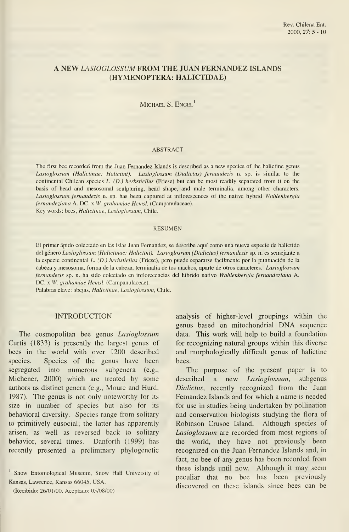## A NEW LASIOGLOSSUM FROM THE JUAN FERNANDEZ ISLANDS (HYMENOPTERA: HALICTIDAE)

# MICHAEL S. ENGEL<sup>1</sup>

### ABSTRACT

The first bee recorded from the Juan Fernandez Islands is described as a new species of the halictine genus Lasioglossum (Halictinae: Halictini). Lasioglossum (Dialictus) fernandezis n. sp. is similar to the continental Chilean species L. (D.) herbstiellus (Friese) but can be most readily separated from it on the basis of head and mesosomal sculpturing, head shape, and male terminalia, among other characters. Lasioglossum fernandezis n. sp. has been captured at inflorescences of the native hybrid Wahlenbergia fernandeziana A. DC. x W. grahamiae Hemsl. (Campanulaceae). Key words: bees, Halictinae, Lasioglossum, Chile.

#### RESUMEN

El primer ápido colectado en las islas Juan Fernandez, se describe aquí como una nueva especie de halíctido del género Lasioglossum (Halictinae: Halictini). Lasioglossum (Dialictus) fernandezis sp. n. es semejante a la especie continental L. (D.) herbstiellus (Friese), pero puede separarse facilmente por la puntuación de la cabeza y mesosoma, forma de la cabeza, terminalia de los machos, aparte de otros caracteres. Lasioglossum fernandezis sp. n. ha sido colectado en inflorecencias del híbrido nativo Wahlenbergia fernandeziana A. DC. x W. grahamiae Hemsl. (Campanulaceae).

Palabras clave: abejas, Halictinae, Lasioglossum, Chile.

### INTRODUCTION

The cosmopolitan bee genus Lasioglossum Curtís (1833) is presently the largest genus of bees in the world with over 1200 described species. Species of the genus have been segregated into numerous subgenera (e.g., Michener, 2000) which are treated by some authors as distinct genera (e.g., Moure and Hurd, 1987). The genus is not only noteworthy for its size in number of species but also for its behavioral diversity. Species range from solitary to primitively eusocial; the latter has apparently arisen, as well as reversed back to solitary behavior, several times. Danforth (1999) has recently presented a preliminary phylogenetic

' Snow Entomological Museum, Snow Hall University of Kansas, Lawrence, Kansas 66045, USA.

(Recibido: 26/01/00. Aceptado: 05/08/00)

analysis of higher-level groupings within the genus based on mitochondrial DNA sequence data. This work will help to build a foundation for recognizing natural groups within this diverse and morphologically difficult genus of halictine bees.

The purpose of the present paper is to described a new *Lasioglossum*, subgenus Dialictus, recently recognized from the Juan Fernandez Islands and for which a name is needed for use in studies being undertaken by pollination and conservation biologists studying the flora of Robinson Crusoe Island. Although species of Lasioglossum are recorded from most regions of the world, they have not previously been recognized on the Juan Fernandez Islands and, in fact, no bee of any genus has been recorded from these islands until now. Although it may seem peculiar that no bee has been previously discovered on these islands since bees can be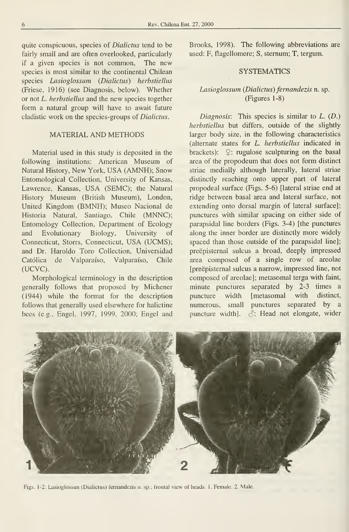quite conspicuous, species of Dialictus tend to be fairly small and are often overlooked, particularly if a given species is not common, The new species is most similar to the continental Chilean species Lasioglossum (Dialictus) herbstiellus (Friese, 1916) (see Diagnosis, below). Whether or not L. herbstiellus and the new species together form a natural group will have to await future cladistic work on the species-groups of Dialictus.

## MATERIAL AND METHODS

Material used in this study is deposited in the following institutions: American Museum of Natural History, New York, USA (AMNH); Snow Entomological Collection, University of Kansas, Lawrence, Kansas, USA (SEMC); the Natural History Museum (British Museum), London, United Kingdom (BMNH); Museo Nacional de Historia Natural, Santiago, Chile (MNNC); Entomology Collection, Department of Ecology and Evolutionary Biology, University of Connecticut, Storrs, Connecticut, USA (UCMS); and Dr. Haroldo Toro Collection, Universidad Católica de Valparaíso, Valparaíso, Chile (UCVC).

Morphological terminology in the description generally follows that proposed by Michener (1944) while the format for the description follows that generally used elsewhere for halictine bees (e.g., Engel, 1997, 1999, 2000; Engel and Brooks, 1998). The following abbreviations are used: F, flagellomere; S, sternum; T, tergum.

## **SYSTEMATICS**

# Lasioglossum (Dialictus) fernandezis n. sp. (Figures 1-8)

Diagnosis: This species is similar to  $L$ .  $(D)$ .) herbstiellus but differs, outside of the slightly larger body size, in the following characteristics (alternate states for L. herbstiellus indicated in brackets):  $\mathcal{Q}$ : rugulose sculpturing on the basal área of the propodeum that does not form distinct striae medially although laterally, lateral striae distincdy reaching onto upper part of lateral propodeal surface (Figs. 5-6) [lateral striae end at ridge between basal área and lateral surface, not extending onto dorsal margin of lateral surface]; punctures with similar spacing on either side of parapsidal line borders (Figs. 3-4) [the punctures along the inner border are distinctly more widely spaced than those outside of the parapsidal line]; preépisternal sulcus a broad, deeply impressed área composed of a single row of areolae [preepisternal sulcus a narrow, impressed line, not composed of areolae]; metasomal terga with faint, minute punctures separated by 2-3 times a puncture width [metasomal with distinct, numerous, small punctures separated by a puncture width].  $\Diamond$ : Head not elongate, wider



Figs. 1-2: Lasioglossun (Dialictus) fernandezis n. sp.; frontal view of heads. 1. Female. 2. Male.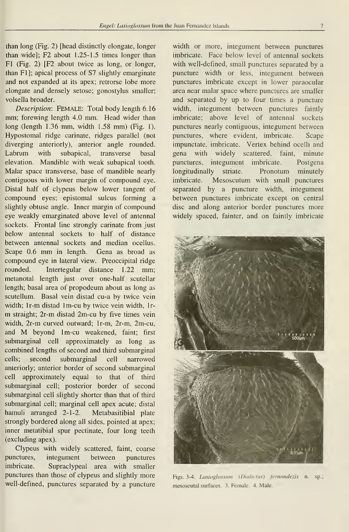than long (Fig. 2) [head distinctly elongate, longer than wide]; F2 about 1.25-1.5 times longer than Fl (Fig. 2) [F2 about twice as long, or longer, than Fl]; apical process of S7 slightly emarginate and not expanded at its apex; retrorse lobe more elongate and densely setose; gonostylus smaller; volsella broader.

Description: FEMALE: Total body length 6.16 mm; forewing length 4.0 mm. Head wider than long (length 1.36 mm, width 1.58 mm) (Fig. 1). Hypostomal ridge carínate, ridges parallel (not diverging anteriorly), anterior angle rounded. Labrum with subapical, transverse basal elevation. Mandible with weak subapical tooth. Malar space transverse, base of mandible nearly contiguous with lower margin of compound eye. Distal half of clypeus below lower tangent of compound eyes; epistomal sulcus forming a slightly obtuse angle. Inner margin of compound eye weakly emarginated above level of antennal sockets. Frontal line strongly carínate from just below antennal sockets to half of distance between antennal sockets and median ocellus. Scape 0.6 mm in length. Gena as broad as compound eye in lateral view. Preoccipital ridge rounded. Intertegular distance 1.22 mm; metanotal length just over one-half scutellar length; basal área of propodeum about as long as scutellum. Basal vein distad cu-a by twice vein width; Ir-m distad Im-cu by twice vein width, Ir m straight; 2r-m distad 2m-cu by five times vein width, 2r-m curved outward; Ir-m, 2r-m, 2m-cu, and M beyond Im-cu weakened, faint; first submarginal cell approximately as long as combined lengths of second and third submarginal cells; second submarginal cell narrowed anteriorly; anterior border of second submarginal cell approximately equal to that of third submarginal cell; posterior border of second submarginal cell slightly shorter than that of third submarginal cell; marginal cell apex acute; distal hamuli arranged 2-1-2. Metabasitibial plate strongly bordered along all sides, pointed at apex; inner metatibial spur pectinate, four long teeth (excluding apex).

Clypeus with widely scattered, faint, coarse punctures, integument between punctures imbricate. Supraclypeal area with smaller punctures than those of clypeus and slightly more well-defined, punctures separated by a puncture

width or more, integument between punctures imbricate. Face below level of antennal sockets with well-defined, small punctures separated by a puncture width or less, integument between punctures imbrícate except in lower paraocular area near malar space where punctures are smaller and separated by up to four times a puncture width, integument between punctures faintly imbrícate; above level of antennal sockets punctures nearly contiguous, integument between punctures, where evident, imbrícate. Scape impunctate, imbricate. Vertex behind ocelli and gena with widely scattered, faint, minute punctures, integument imbrícate. Postgena longitudinally striate. Pronotum minutely imbricate. Mesoscutum with small punctures separated by a puncture width, integument between punctures imbrícate except on central disc and along anterior border punctures more widely spaced, fainter, and on faintly imbrícate



Figs. 3-4. Lasioglossum (Dialictus) fernandezis n. sp.; mesoscutal surfaces. 3. Female. 4. Male.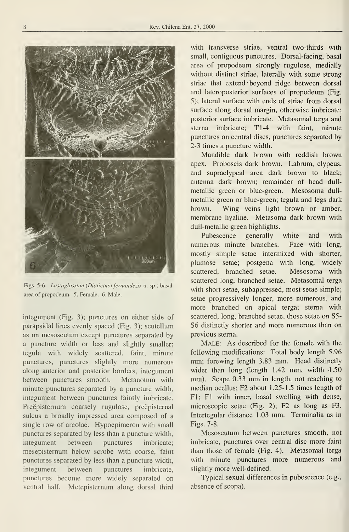

Figs. 5-6. Lasioglossum (Dialictus) fernandezis n. sp.; basal área of propodeum. 5. Female. 6. Male.

integument (Fig. 3); punctures on either side of parapsidal lines evenly spaced (Fig. 3); scutellum as on mesoscutum except punctures separated by a puncture width or less and slightly smaller; tegula with widely scattered, faint, minute punctures, punctures slightly more numerous along anterior and posterior borders, integument between punctures smooth. Metanotum with minute punctures separated by a puncture width, integument between punctures faintly imbrícate. Preépisternum coarsely rugulose, preépisternal sulcus a broadly impressed área composed of a single row of areolae. Hypoepimeron with small punctures separated by less than a puncture width, integument between punctures imbrícate; mesepisternum below scrobe with coarse, faint punctures separated by iess than a puncture width, integument between punctures imbrícate, punctures become more widely separated on ventral half. Metepisternum along dorsal third

with transverse striae, ventral two-thirds with small, contiguous punctures. Dorsal-facing, basal área of propodeum strongly rugulose, medially without distinct striae, laterally with some strong striae that extend beyond ridge between dorsal and lateroposterior surfaces of propodeum (Fig. 5); lateral surface with ends of striae from dorsal surface along dorsal margin, otherwise imbrícate; posterior surface imbrícate. Metasomal terga and sterna imbrícate; TI -4 with faint, minute punctures on central discs, punctures separated by 2-3 times a puncture width.

Mandible dark brown with reddish brown apex. Proboscis dark brown. Labrum, clypeus, and supraclypeal área dark brown to black; antenna dark brown; remainder of head dull metallic green or blue-green. Mesosoma dullmetallic green or blue-green; tegula and legs dark brown. Wing veins light brown or amber, membrane hyaline. Metasoma dark brown with dull-metallic green highlights.

Pubescence generally white and with numerous minute branches. Face with long, mostly simple setae intermixed with shorter, plumose setae; postgena with long, widely scattered, branched setae. Mesosoma with scattered long, branched setae. Metasomal terga with short setae, subappressed, most setae simple; setae progressively longer, more numerous, and more branched on apical terga; sterna with scattered, long, branched setae, those setae on S5- S6 distinctly shorter and more numerous than on previous sterna.

Male: As described for the female with the following modifications: Total body length 5.96 mm; forewing length 3.83 mm. Head distinctly wider than long (length 1.42 mm, width 1.50 mm). Scape 0.33 mm in length, not reaching to median ocellus; F2 about 1.25-1.5 times length of Fl; Fl with inner, basal swelling with dense, microscopic setae (Fig. 2); F2 as long as F3. Intertegular distance 1.03 mm. Terminalia as in Figs. 7-8.

Mesoscutum between punctures smooth, not imbrícate, punctures over central disc more faint than those of female (Fig. 4). Metasomal terga with minute punctures more numerous and slightly more well-defined.

Typical sexual differences in pubescence (e.g., absence of scopa).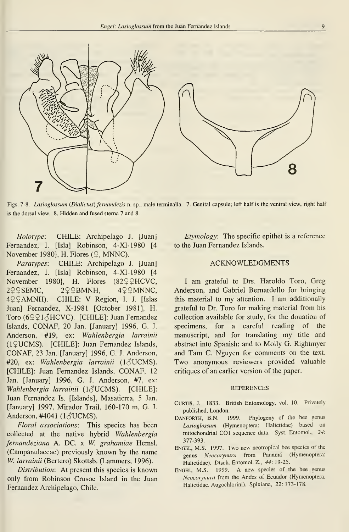

Figs. 7-8. Lasioglossum (Dialictus) fernandezis n. sp., male terminalia. 7. Genital capsule; left half is the ventral view, right half is the dorsal view. 8. Hidden and fused stema 7 and 8.

Holotype: CHILE: Archipelago J. [Juan] Fernandez, I. [Isla] Robinson, 4-XI-1980 [4 November 1980], H. Flores  $(2, MNNC)$ .

Paratypes: CHILE: Archipelago J. [Juan] Fernandez, I. [Isla] Robinson, 4-XI-1980 [4 November 1980], H. Flores  $(82 \n\sqrt{2}HCVC,$  $2\sqrt{2}$ SEMC,  $2\sqrt{2}$ BMNH,  $4\sqrt{2}$ MNNC, 4 ? PAMNH). CHILE: V Region, I. J. [Islas] Juan] Fernandez, X-1981 [October 1981], H. Toro ( $6291\text{AHCVC}$ ). [CHILE]: Juan Fernandez Islands, CONAF, 20 Jan. [January] 1996, G. J. Anderson, #19, ex: Wahlenbergia larrainii (1\$UCMS). [CHILE]: Juan Fernandez Islands, CONAF, 23 Jan. [January] 1996, G. J. Anderson, #20, ex: Wahlenbergia larrainii ( $1\text{AUCMS}$ ). [CHILE]: Juan Fernandez Islands, CONAF, <sup>12</sup> Jan. [January] 1996, G. J. Anderson, #7, ex: Wahlenbergia larrainii ( $1\text{AUCMS}$ ). [CHILE]: Juan Fernandez Is. [Islands], Masatierra, 5 Jan. [January] 1997, Mirador Trail, 160-170 m, G. J. Anderson, #4041 ( $1\text{d}$ UCMS).

Floral associations: This species has been collected at the native hybrid Wahlenbergia fernandeziana A. DC. x W. grahamiae Hemsl. (Campanulaceae) previously known by the name W. larrainii (Bertero) Skottsb. (Lammers, 1996).

Distribution: At present this species is known only from Robinson Crusoe Island in the Juan Fernandez Archipelago, Chile.

Etymology: The specific epithet is a reference to the Juan Fernandez Islands.

### ACKNOWLEDGMENTS

<sup>I</sup> am grateful to Drs. Haroldo Toro, Greg Anderson, and Gabriel Bernardello for bringing this material to my attention. <sup>I</sup> am additionally grateful to Dr. Toro for making material from his collection available for study, for the donation of specimens, for a careful reading of the manuscript, and for translating my title and abstract into Spanish; and to Molly G. Rightmyer and Tam C. Nguyen for comments on the text. Two anonymous reviewers provided valuable critiques of an earlier version of the paper.

### **REFERENCES**

- CURTIS, J. 1833. British Entomology, vol. 10. Privately published, London.
- DANFORTH, B.N. 1999. Phylogeny of the bee genus Lasioglossum (Hymenoptera: Halictidae) based on mitochondrial COI sequence data. Syst. Entomol., 24: 377-393.
- Engel, M.S. 1997. Two new neotropical bee species of the genus Neocorynura from Panamá (Hymenoptera: Halictidae). Dtsch. Entomol. Z., 44: 19-25.
- ENGEL, M.S. 1999. A new species of the bee genus Neocorynura from the Andes of Ecuador (Hymenoptera, Halictidae, Augochlorini). Spixiana, 22: 173-178.